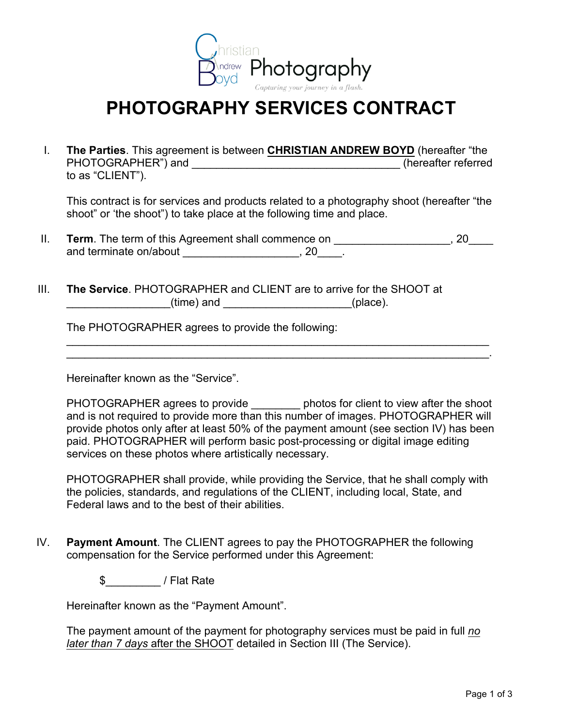

## **PHOTOGRAPHY SERVICES CONTRACT**

I. **The Parties**. This agreement is between **CHRISTIAN ANDREW BOYD** (hereafter "the PHOTOGRAPHER") and \_\_\_\_\_\_\_\_\_\_\_\_\_\_\_\_\_\_\_\_\_\_\_\_\_\_\_\_\_\_\_\_\_\_ (hereafter referred to as "CLIENT").

This contract is for services and products related to a photography shoot (hereafter "the shoot" or 'the shoot") to take place at the following time and place.

- II. **Term**. The term of this Agreement shall commence on \_\_\_\_\_\_\_\_\_\_\_\_\_\_\_\_\_, 20\_\_\_\_ and terminate on/about \_\_\_\_\_\_\_\_\_\_\_\_\_\_\_\_\_\_\_\_\_, 20\_\_\_\_.
- III. **The Service**. PHOTOGRAPHER and CLIENT are to arrive for the SHOOT at (time) and  $($

The PHOTOGRAPHER agrees to provide the following:

Hereinafter known as the "Service".

PHOTOGRAPHER agrees to provide by photos for client to view after the shoot and is not required to provide more than this number of images. PHOTOGRAPHER will provide photos only after at least 50% of the payment amount (see section IV) has been paid. PHOTOGRAPHER will perform basic post-processing or digital image editing services on these photos where artistically necessary.

\_\_\_\_\_\_\_\_\_\_\_\_\_\_\_\_\_\_\_\_\_\_\_\_\_\_\_\_\_\_\_\_\_\_\_\_\_\_\_\_\_\_\_\_\_\_\_\_\_\_\_\_\_\_\_\_\_\_\_\_\_\_\_\_\_\_\_\_\_ \_\_\_\_\_\_\_\_\_\_\_\_\_\_\_\_\_\_\_\_\_\_\_\_\_\_\_\_\_\_\_\_\_\_\_\_\_\_\_\_\_\_\_\_\_\_\_\_\_\_\_\_\_\_\_\_\_\_\_\_\_\_\_\_\_\_\_\_\_.

PHOTOGRAPHER shall provide, while providing the Service, that he shall comply with the policies, standards, and regulations of the CLIENT, including local, State, and Federal laws and to the best of their abilities.

IV. **Payment Amount**. The CLIENT agrees to pay the PHOTOGRAPHER the following compensation for the Service performed under this Agreement:

\$\_\_\_\_\_\_\_\_\_ / Flat Rate

Hereinafter known as the "Payment Amount".

The payment amount of the payment for photography services must be paid in full *no later than 7 days* after the SHOOT detailed in Section III (The Service).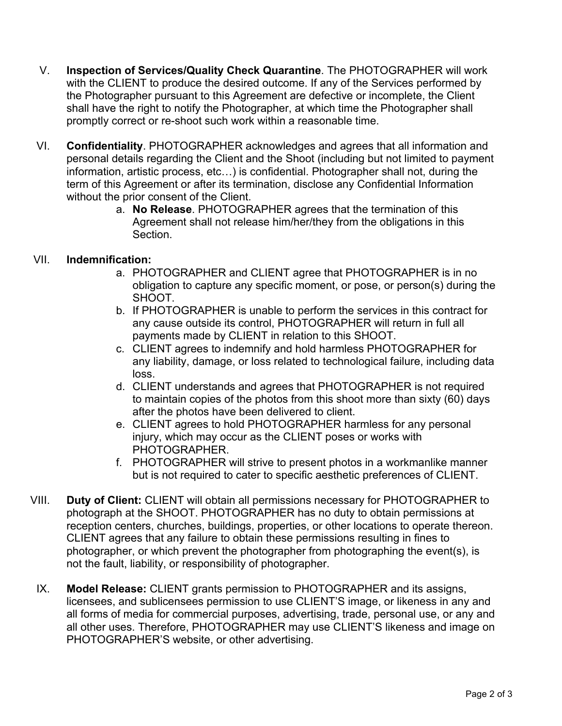- V. **Inspection of Services/Quality Check Quarantine**. The PHOTOGRAPHER will work with the CLIENT to produce the desired outcome. If any of the Services performed by the Photographer pursuant to this Agreement are defective or incomplete, the Client shall have the right to notify the Photographer, at which time the Photographer shall promptly correct or re-shoot such work within a reasonable time.
- VI. **Confidentiality**. PHOTOGRAPHER acknowledges and agrees that all information and personal details regarding the Client and the Shoot (including but not limited to payment information, artistic process, etc…) is confidential. Photographer shall not, during the term of this Agreement or after its termination, disclose any Confidential Information without the prior consent of the Client.
	- a. **No Release**. PHOTOGRAPHER agrees that the termination of this Agreement shall not release him/her/they from the obligations in this Section.

## VII. **Indemnification:**

- a. PHOTOGRAPHER and CLIENT agree that PHOTOGRAPHER is in no obligation to capture any specific moment, or pose, or person(s) during the SHOOT.
- b. If PHOTOGRAPHER is unable to perform the services in this contract for any cause outside its control, PHOTOGRAPHER will return in full all payments made by CLIENT in relation to this SHOOT.
- c. CLIENT agrees to indemnify and hold harmless PHOTOGRAPHER for any liability, damage, or loss related to technological failure, including data loss.
- d. CLIENT understands and agrees that PHOTOGRAPHER is not required to maintain copies of the photos from this shoot more than sixty (60) days after the photos have been delivered to client.
- e. CLIENT agrees to hold PHOTOGRAPHER harmless for any personal injury, which may occur as the CLIENT poses or works with PHOTOGRAPHER.
- f. PHOTOGRAPHER will strive to present photos in a workmanlike manner but is not required to cater to specific aesthetic preferences of CLIENT.
- VIII. **Duty of Client:** CLIENT will obtain all permissions necessary for PHOTOGRAPHER to photograph at the SHOOT. PHOTOGRAPHER has no duty to obtain permissions at reception centers, churches, buildings, properties, or other locations to operate thereon. CLIENT agrees that any failure to obtain these permissions resulting in fines to photographer, or which prevent the photographer from photographing the event(s), is not the fault, liability, or responsibility of photographer.
- IX. **Model Release:** CLIENT grants permission to PHOTOGRAPHER and its assigns, licensees, and sublicensees permission to use CLIENT'S image, or likeness in any and all forms of media for commercial purposes, advertising, trade, personal use, or any and all other uses. Therefore, PHOTOGRAPHER may use CLIENT'S likeness and image on PHOTOGRAPHER'S website, or other advertising.